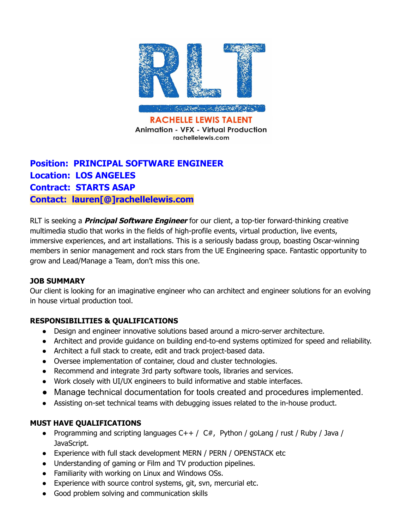

# **Position: PRINCIPAL SOFTWARE ENGINEER Location: LOS ANGELES Contract: STARTS ASAP Contact: lauren[@]rachellelewis.com**

RLT is seeking a **Principal Software Engineer** for our client, a top-tier forward-thinking creative multimedia studio that works in the fields of high-profile events, virtual production, live events, immersive experiences, and art installations. This is a seriously badass group, boasting Oscar-winning members in senior management and rock stars from the UE Engineering space. Fantastic opportunity to grow and Lead/Manage a Team, don't miss this one.

# **JOB SUMMARY**

Our client is looking for an imaginative engineer who can architect and engineer solutions for an evolving in house virtual production tool.

# **RESPONSIBILITIES & QUALIFICATIONS**

- Design and engineer innovative solutions based around a micro-server architecture.
- Architect and provide guidance on building end-to-end systems optimized for speed and reliability.
- Architect a full stack to create, edit and track project-based data.
- Oversee implementation of container, cloud and cluster technologies.
- Recommend and integrate 3rd party software tools, libraries and services.
- Work closely with UI/UX engineers to build informative and stable interfaces.
- Manage technical documentation for tools created and procedures implemented.
- Assisting on-set technical teams with debugging issues related to the in-house product.

# **MUST HAVE QUALIFICATIONS**

- Programming and scripting languages  $C++/C#$ , Python / goLang / rust / Ruby / Java / JavaScript.
- Experience with full stack development MERN / PERN / OPENSTACK etc
- Understanding of gaming or Film and TV production pipelines.
- Familiarity with working on Linux and Windows OSs.
- Experience with source control systems, git, svn, mercurial etc.
- Good problem solving and communication skills